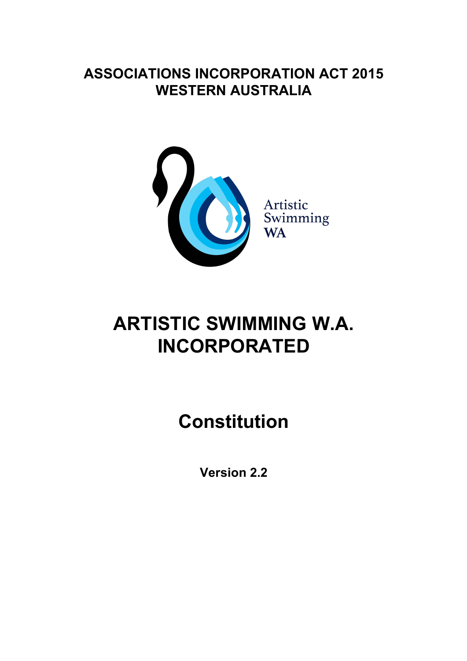# **ASSOCIATIONS INCORPORATION ACT 2015 WESTERN AUSTRALIA**



# **ARTISTIC SWIMMING W.A. INCORPORATED**

**Constitution** 

**Version 2.**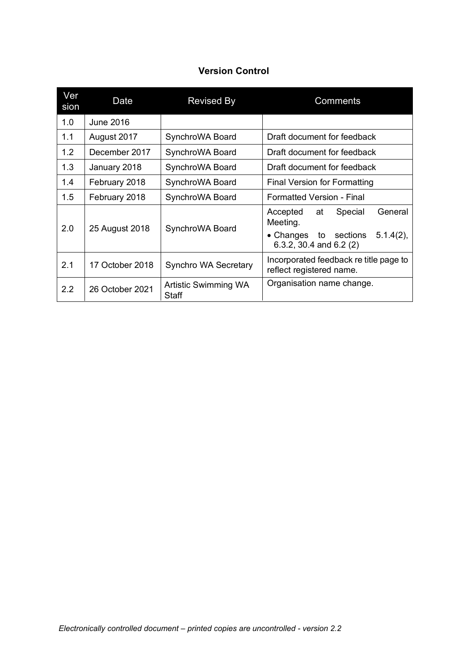## **Version Control**

| Ver<br>sion | Date             | <b>Revised By</b>                    | Comments                                                                                  |  |
|-------------|------------------|--------------------------------------|-------------------------------------------------------------------------------------------|--|
| 1.0         | <b>June 2016</b> |                                      |                                                                                           |  |
| 1.1         | August 2017      | SynchroWA Board                      | Draft document for feedback                                                               |  |
| 1.2         | December 2017    | SynchroWA Board                      | Draft document for feedback                                                               |  |
| 1.3         | January 2018     | SynchroWA Board                      | Draft document for feedback                                                               |  |
| 1.4         | February 2018    | SynchroWA Board                      | <b>Final Version for Formatting</b>                                                       |  |
| 1.5         | February 2018    | SynchroWA Board                      | <b>Formatted Version - Final</b>                                                          |  |
| 2.0         | 25 August 2018   | SynchroWA Board                      | General<br>Accepted<br>at<br>Special<br>Meeting.<br>• Changes to sections<br>$5.1.4(2)$ , |  |
|             |                  |                                      | 6.3.2, 30.4 and 6.2 $(2)$                                                                 |  |
| 2.1         | 17 October 2018  | Synchro WA Secretary                 | Incorporated feedback re title page to<br>reflect registered name.                        |  |
| 2.2         | 26 October 2021  | Artistic Swimming WA<br><b>Staff</b> | Organisation name change.                                                                 |  |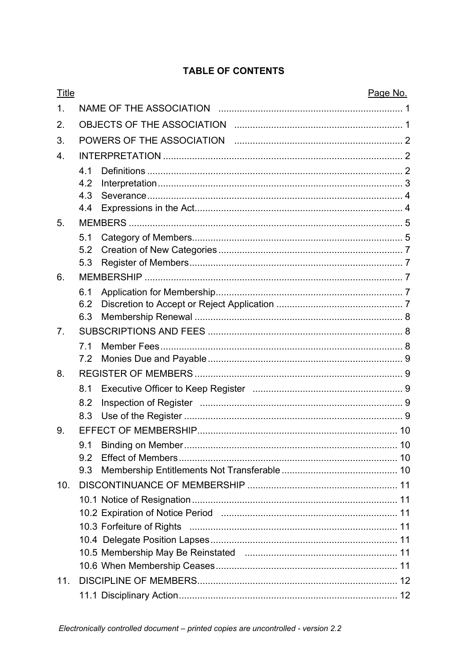## **TABLE OF CONTENTS**

| <b>Title</b>   |            |  | Page No. |
|----------------|------------|--|----------|
| $\mathbf 1$ .  |            |  |          |
| 2.             |            |  |          |
| 3.             |            |  |          |
| 4.             |            |  |          |
|                | 4.1        |  |          |
|                | 4.2        |  |          |
|                | 4.3        |  |          |
|                | 4.4        |  |          |
| 5.             |            |  |          |
|                | 5.1<br>5.2 |  |          |
|                | 5.3        |  |          |
| 6.             |            |  |          |
|                | 6.1        |  |          |
|                | 6.2        |  |          |
|                | 6.3        |  |          |
| 7 <sub>1</sub> |            |  |          |
|                | 7.1        |  |          |
|                | 7.2        |  |          |
| 8.             |            |  |          |
|                | 8.1        |  |          |
|                | 8.2        |  |          |
|                | 8.3        |  |          |
| 9.             |            |  |          |
|                | 9.1        |  |          |
|                | 9.2<br>9.3 |  |          |
| 10.            |            |  |          |
|                |            |  |          |
|                |            |  |          |
|                |            |  |          |
|                |            |  |          |
|                |            |  |          |
|                |            |  |          |
| 11.            |            |  |          |
|                |            |  |          |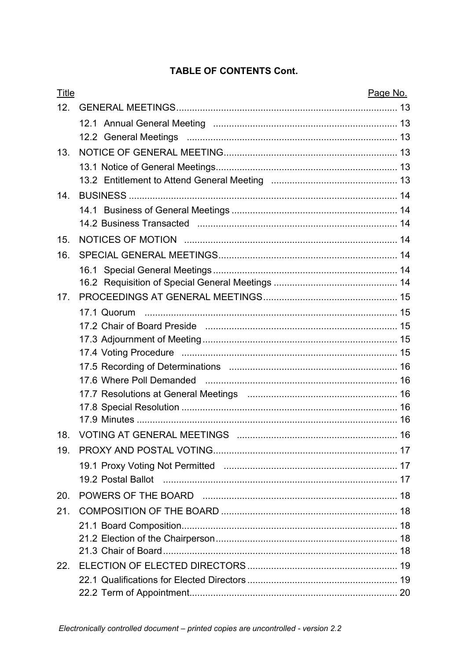## **TABLE OF CONTENTS Cont.**

| <b>Title</b> | Page No. |    |
|--------------|----------|----|
| 12.          |          |    |
|              |          |    |
|              |          |    |
| 13.          |          |    |
|              |          |    |
|              |          |    |
| 14.          |          |    |
|              |          |    |
|              |          |    |
| 15.          |          |    |
| 16.          |          |    |
|              |          |    |
|              |          |    |
| 17.          |          |    |
|              |          |    |
|              |          |    |
|              |          |    |
|              |          |    |
|              |          |    |
|              |          |    |
|              |          |    |
|              |          |    |
| 18.          |          | 16 |
| 19.          |          |    |
|              |          |    |
|              |          |    |
| 20.          |          |    |
| 21.          |          |    |
|              |          |    |
|              |          |    |
|              |          |    |
| 22.          |          |    |
|              |          |    |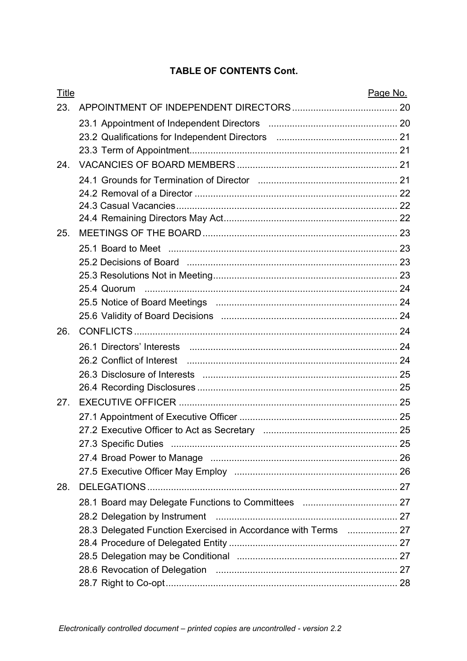## **TABLE OF CONTENTS Cont.**

| <b>Title</b> |                                                                | Page No. |
|--------------|----------------------------------------------------------------|----------|
| 23.          |                                                                |          |
|              |                                                                |          |
|              |                                                                |          |
|              |                                                                |          |
| 24.          |                                                                |          |
|              |                                                                |          |
|              |                                                                |          |
|              |                                                                |          |
|              |                                                                |          |
| 25.          |                                                                |          |
|              |                                                                |          |
|              |                                                                |          |
|              |                                                                |          |
|              | 25.4 Quorum                                                    |          |
|              |                                                                |          |
|              |                                                                |          |
| 26.          |                                                                |          |
|              |                                                                |          |
|              |                                                                |          |
|              |                                                                |          |
|              |                                                                |          |
| 27.          |                                                                |          |
|              |                                                                |          |
|              |                                                                |          |
|              |                                                                |          |
|              |                                                                |          |
|              |                                                                |          |
| 28.          |                                                                |          |
|              |                                                                |          |
|              |                                                                |          |
|              | 28.3 Delegated Function Exercised in Accordance with Terms  27 |          |
|              |                                                                |          |
|              |                                                                |          |
|              |                                                                |          |
|              |                                                                |          |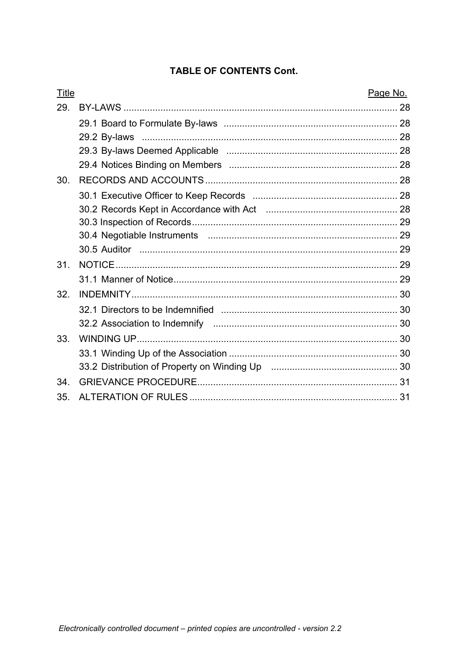## **TABLE OF CONTENTS Cont.**

| Title | Page No. |
|-------|----------|
| 29.   |          |
|       |          |
|       |          |
|       |          |
|       |          |
| 30.   |          |
|       |          |
|       |          |
|       |          |
|       |          |
|       |          |
| 31.   |          |
|       |          |
| 32.   |          |
|       |          |
|       |          |
| 33.   |          |
|       |          |
|       |          |
| 34.   |          |
| 35.   |          |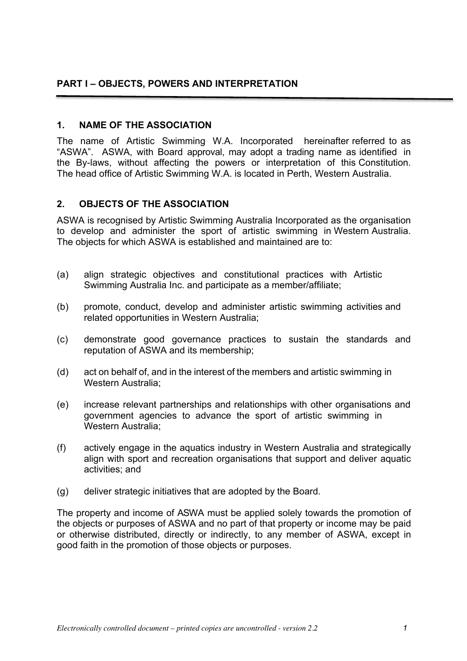#### **1. NAME OF THE ASSOCIATION**

The name of Artistic Swimming W.A. Incorporated hereinafter referred to as "ASWA". ASWA, with Board approval, may adopt a trading name as identified in the By-laws, without affecting the powers or interpretation of this Constitution. The head office of Artistic Swimming W.A. is located in Perth, Western Australia.

## **2. OBJECTS OF THE ASSOCIATION**

ASWA is recognised by Artistic Swimming Australia Incorporated as the organisation to develop and administer the sport of artistic swimming in Western Australia. The objects for which ASWA is established and maintained are to:

- (a) align strategic objectives and constitutional practices with Artistic Swimming Australia Inc. and participate as a member/affiliate;
- (b) promote, conduct, develop and administer artistic swimming activities and related opportunities in Western Australia;
- (c) demonstrate good governance practices to sustain the standards and reputation of ASWA and its membership;
- (d) act on behalf of, and in the interest of the members and artistic swimming in Western Australia;
- (e) increase relevant partnerships and relationships with other organisations and government agencies to advance the sport of artistic swimming in Western Australia;
- (f) actively engage in the aquatics industry in Western Australia and strategically align with sport and recreation organisations that support and deliver aquatic activities; and
- (g) deliver strategic initiatives that are adopted by the Board.

The property and income of ASWA must be applied solely towards the promotion of the objects or purposes of ASWA and no part of that property or income may be paid or otherwise distributed, directly or indirectly, to any member of ASWA, except in good faith in the promotion of those objects or purposes.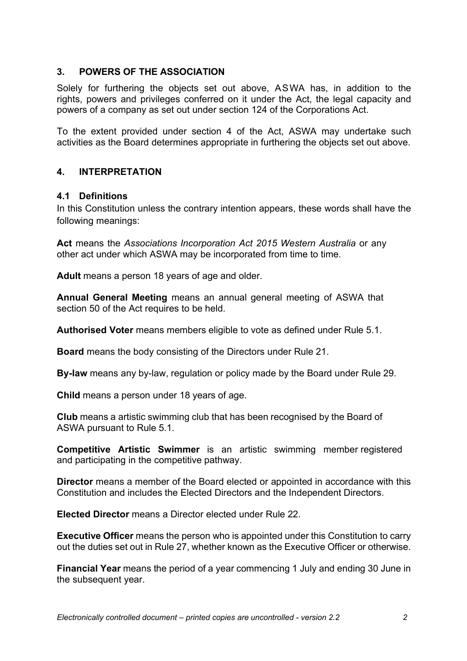## **3. POWERS OF THE ASSOCIATION**

Solely for furthering the objects set out above, ASWA has, in addition to the rights, powers and privileges conferred on it under the Act, the legal capacity and powers of a company as set out under section 124 of the Corporations Act.

To the extent provided under section 4 of the Act, ASWA may undertake such activities as the Board determines appropriate in furthering the objects set out above.

## **4. INTERPRETATION**

## **4.1 Definitions**

In this Constitution unless the contrary intention appears, these words shall have the following meanings:

**Act** means the *Associations Incorporation Act 2015 Western Australia* or any other act under which ASWA may be incorporated from time to time.

**Adult** means a person 18 years of age and older.

**Annual General Meeting** means an annual general meeting of ASWA that section 50 of the Act requires to be held.

**Authorised Voter** means members eligible to vote as defined under Rule 5.1.

**Board** means the body consisting of the Directors under Rule 21.

**By-law** means any by-law, regulation or policy made by the Board under Rule 29.

**Child** means a person under 18 years of age.

**Club** means a artistic swimming club that has been recognised by the Board of ASWA pursuant to Rule 5.1.

**Competitive Artistic Swimmer** is an artistic swimming member registered and participating in the competitive pathway.

**Director** means a member of the Board elected or appointed in accordance with this Constitution and includes the Elected Directors and the Independent Directors.

**Elected Director** means a Director elected under Rule 22.

**Executive Officer** means the person who is appointed under this Constitution to carry out the duties set out in Rule 27, whether known as the Executive Officer or otherwise.

**Financial Year** means the period of a year commencing 1 July and ending 30 June in the subsequent year.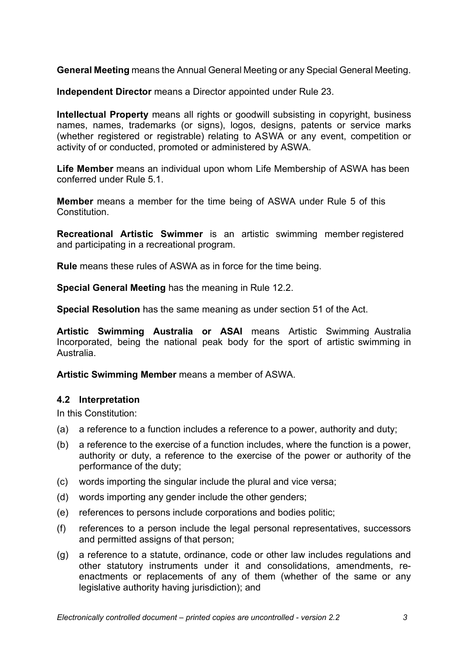**General Meeting** means the Annual General Meeting or any Special General Meeting.

**Independent Director** means a Director appointed under Rule 23.

**Intellectual Property** means all rights or goodwill subsisting in copyright, business names, names, trademarks (or signs), logos, designs, patents or service marks (whether registered or registrable) relating to ASWA or any event, competition or activity of or conducted, promoted or administered by ASWA.

**Life Member** means an individual upon whom Life Membership of ASWA has been conferred under Rule 5.1.

**Member** means a member for the time being of ASWA under Rule 5 of this Constitution.

**Recreational Artistic Swimmer** is an artistic swimming member registered and participating in a recreational program.

**Rule** means these rules of ASWA as in force for the time being.

**Special General Meeting** has the meaning in Rule 12.2.

**Special Resolution** has the same meaning as under section 51 of the Act.

**Artistic Swimming Australia or ASAI** means Artistic Swimming Australia Incorporated, being the national peak body for the sport of artistic swimming in Australia.

**Artistic Swimming Member** means a member of ASWA.

#### **4.2 Interpretation**

In this Constitution:

- (a) a reference to a function includes a reference to a power, authority and duty;
- (b) a reference to the exercise of a function includes, where the function is a power, authority or duty, a reference to the exercise of the power or authority of the performance of the duty;
- (c) words importing the singular include the plural and vice versa;
- (d) words importing any gender include the other genders;
- (e) references to persons include corporations and bodies politic;
- (f) references to a person include the legal personal representatives, successors and permitted assigns of that person;
- (g) a reference to a statute, ordinance, code or other law includes regulations and other statutory instruments under it and consolidations, amendments, reenactments or replacements of any of them (whether of the same or any legislative authority having jurisdiction); and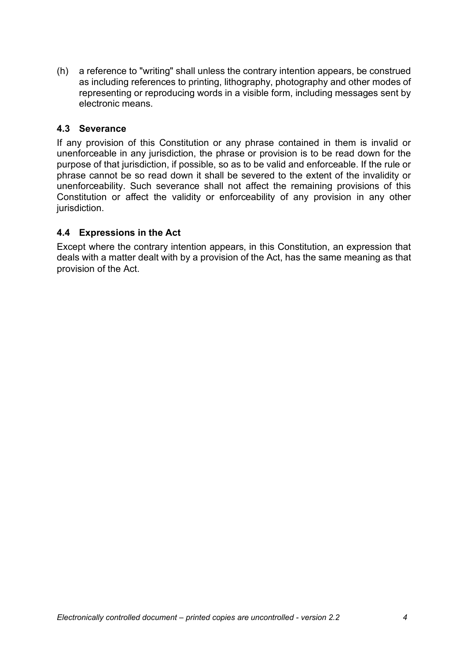(h) a reference to "writing" shall unless the contrary intention appears, be construed as including references to printing, lithography, photography and other modes of representing or reproducing words in a visible form, including messages sent by electronic means.

## **4.3 Severance**

If any provision of this Constitution or any phrase contained in them is invalid or unenforceable in any jurisdiction, the phrase or provision is to be read down for the purpose of that jurisdiction, if possible, so as to be valid and enforceable. If the rule or phrase cannot be so read down it shall be severed to the extent of the invalidity or unenforceability. Such severance shall not affect the remaining provisions of this Constitution or affect the validity or enforceability of any provision in any other jurisdiction.

## **4.4 Expressions in the Act**

Except where the contrary intention appears, in this Constitution, an expression that deals with a matter dealt with by a provision of the Act, has the same meaning as that provision of the Act.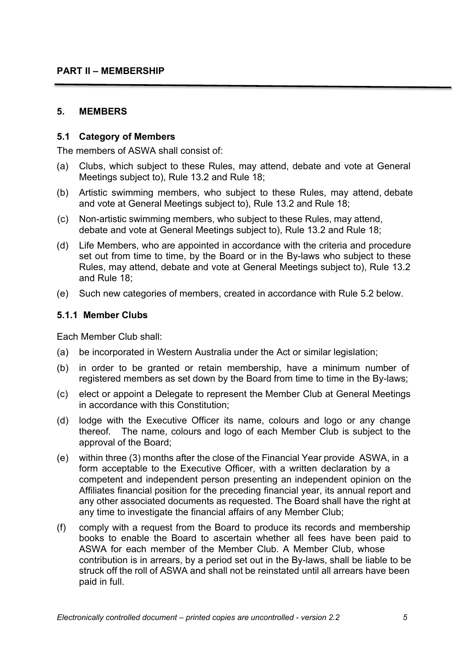## **5. MEMBERS**

#### **5.1 Category of Members**

The members of ASWA shall consist of:

- (a) Clubs, which subject to these Rules, may attend, debate and vote at General Meetings subject to), Rule 13.2 and Rule 18;
- (b) Artistic swimming members, who subject to these Rules, may attend, debate and vote at General Meetings subject to), Rule 13.2 and Rule 18;
- (c) Non-artistic swimming members, who subject to these Rules, may attend, debate and vote at General Meetings subject to), Rule 13.2 and Rule 18;
- (d) Life Members, who are appointed in accordance with the criteria and procedure set out from time to time, by the Board or in the By-laws who subject to these Rules, may attend, debate and vote at General Meetings subject to), Rule 13.2 and Rule 18;
- (e) Such new categories of members, created in accordance with Rule 5.2 below.

#### **5.1.1 Member Clubs**

Each Member Club shall:

- (a) be incorporated in Western Australia under the Act or similar legislation;
- (b) in order to be granted or retain membership, have a minimum number of registered members as set down by the Board from time to time in the By-laws;
- (c) elect or appoint a Delegate to represent the Member Club at General Meetings in accordance with this Constitution;
- (d) lodge with the Executive Officer its name, colours and logo or any change thereof. The name, colours and logo of each Member Club is subject to the approval of the Board;
- (e) within three (3) months after the close of the Financial Year provide ASWA, in a form acceptable to the Executive Officer, with a written declaration by a competent and independent person presenting an independent opinion on the Affiliates financial position for the preceding financial year, its annual report and any other associated documents as requested. The Board shall have the right at any time to investigate the financial affairs of any Member Club;
- (f) comply with a request from the Board to produce its records and membership books to enable the Board to ascertain whether all fees have been paid to ASWA for each member of the Member Club. A Member Club, whose contribution is in arrears, by a period set out in the By-laws, shall be liable to be struck off the roll of ASWA and shall not be reinstated until all arrears have been paid in full.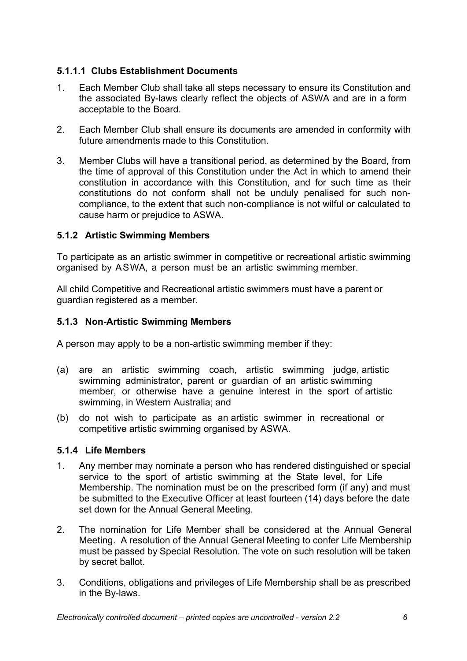## **5.1.1.1 Clubs Establishment Documents**

- 1. Each Member Club shall take all steps necessary to ensure its Constitution and the associated By-laws clearly reflect the objects of ASWA and are in a form acceptable to the Board.
- 2. Each Member Club shall ensure its documents are amended in conformity with future amendments made to this Constitution.
- 3. Member Clubs will have a transitional period, as determined by the Board, from the time of approval of this Constitution under the Act in which to amend their constitution in accordance with this Constitution, and for such time as their constitutions do not conform shall not be unduly penalised for such noncompliance, to the extent that such non-compliance is not wilful or calculated to cause harm or prejudice to ASWA.

## **5.1.2 Artistic Swimming Members**

To participate as an artistic swimmer in competitive or recreational artistic swimming organised by ASWA, a person must be an artistic swimming member.

All child Competitive and Recreational artistic swimmers must have a parent or guardian registered as a member.

## **5.1.3 Non-Artistic Swimming Members**

A person may apply to be a non-artistic swimming member if they:

- (a) are an artistic swimming coach, artistic swimming judge, artistic swimming administrator, parent or guardian of an artistic swimming member, or otherwise have a genuine interest in the sport of artistic swimming, in Western Australia; and
- (b) do not wish to participate as an artistic swimmer in recreational or competitive artistic swimming organised by ASWA.

## **5.1.4 Life Members**

- 1. Any member may nominate a person who has rendered distinguished or special service to the sport of artistic swimming at the State level, for Life Membership. The nomination must be on the prescribed form (if any) and must be submitted to the Executive Officer at least fourteen (14) days before the date set down for the Annual General Meeting.
- 2. The nomination for Life Member shall be considered at the Annual General Meeting. A resolution of the Annual General Meeting to confer Life Membership must be passed by Special Resolution. The vote on such resolution will be taken by secret ballot.
- 3. Conditions, obligations and privileges of Life Membership shall be as prescribed in the By-laws.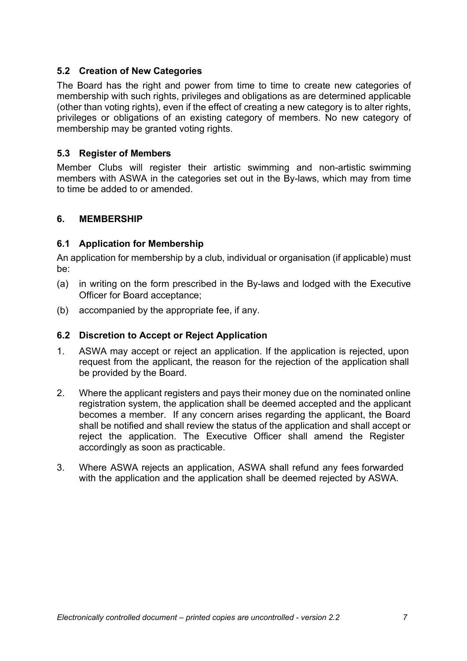## **5.2 Creation of New Categories**

The Board has the right and power from time to time to create new categories of membership with such rights, privileges and obligations as are determined applicable (other than voting rights), even if the effect of creating a new category is to alter rights, privileges or obligations of an existing category of members. No new category of membership may be granted voting rights.

#### **5.3 Register of Members**

Member Clubs will register their artistic swimming and non-artistic swimming members with ASWA in the categories set out in the By-laws, which may from time to time be added to or amended.

## **6. MEMBERSHIP**

#### **6.1 Application for Membership**

An application for membership by a club, individual or organisation (if applicable) must be:

- (a) in writing on the form prescribed in the By-laws and lodged with the Executive Officer for Board acceptance;
- (b) accompanied by the appropriate fee, if any.

#### **6.2 Discretion to Accept or Reject Application**

- 1. ASWA may accept or reject an application. If the application is rejected, upon request from the applicant, the reason for the rejection of the application shall be provided by the Board.
- 2. Where the applicant registers and pays their money due on the nominated online registration system, the application shall be deemed accepted and the applicant becomes a member. If any concern arises regarding the applicant, the Board shall be notified and shall review the status of the application and shall accept or reject the application. The Executive Officer shall amend the Register accordingly as soon as practicable.
- 3. Where ASWA rejects an application, ASWA shall refund any fees forwarded with the application and the application shall be deemed rejected by ASWA.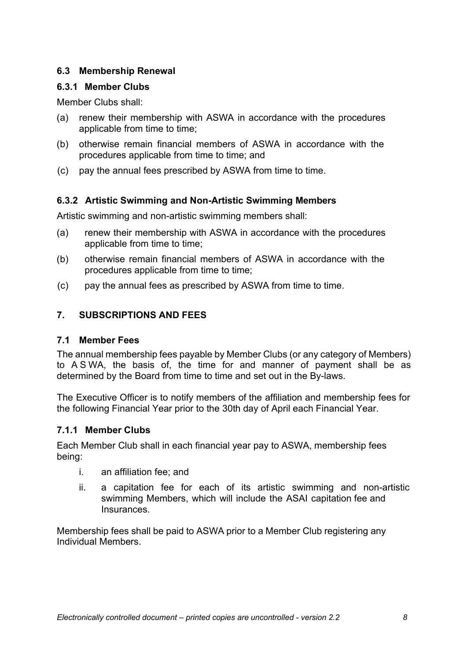## **6.3 Membership Renewal**

## **6.3.1 Member Clubs**

Member Clubs shall:

- (a) renew their membership with ASWA in accordance with the procedures applicable from time to time;
- (b) otherwise remain financial members of ASWA in accordance with the procedures applicable from time to time; and
- (c) pay the annual fees prescribed by ASWA from time to time.

## **6.3.2 Artistic Swimming and Non-Artistic Swimming Members**

Artistic swimming and non-artistic swimming members shall:

- (a) renew their membership with ASWA in accordance with the procedures applicable from time to time;
- (b) otherwise remain financial members of ASWA in accordance with the procedures applicable from time to time;
- (c) pay the annual fees as prescribed by ASWA from time to time.

## **7. SUBSCRIPTIONS AND FEES**

## **7.1 Member Fees**

The annual membership fees payable by Member Clubs (or any category of Members) to A S WA, the basis of, the time for and manner of payment shall be as determined by the Board from time to time and set out in the By-laws.

The Executive Officer is to notify members of the affiliation and membership fees for the following Financial Year prior to the 30th day of April each Financial Year.

## **7.1.1 Member Clubs**

Each Member Club shall in each financial year pay to ASWA, membership fees being:

- i. an affiliation fee; and
- ii. a capitation fee for each of its artistic swimming and non-artistic swimming Members, which will include the ASAI capitation fee and Insurances.

Membership fees shall be paid to ASWA prior to a Member Club registering any Individual Members.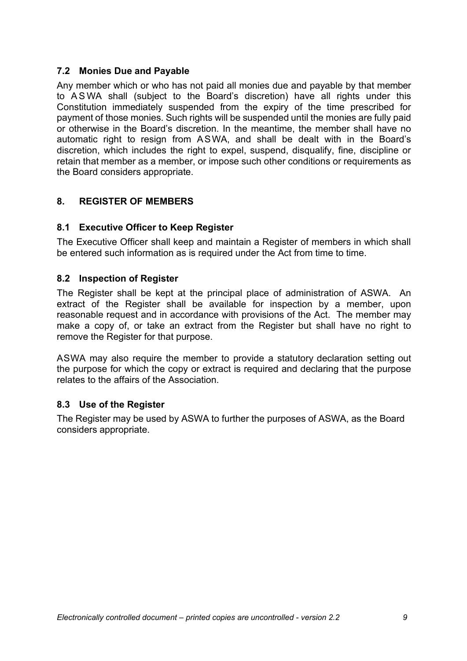## **7.2 Monies Due and Payable**

Any member which or who has not paid all monies due and payable by that member to A S WA shall (subject to the Board's discretion) have all rights under this Constitution immediately suspended from the expiry of the time prescribed for payment of those monies. Such rights will be suspended until the monies are fully paid or otherwise in the Board's discretion. In the meantime, the member shall have no automatic right to resign from ASWA, and shall be dealt with in the Board's discretion, which includes the right to expel, suspend, disqualify, fine, discipline or retain that member as a member, or impose such other conditions or requirements as the Board considers appropriate.

## **8. REGISTER OF MEMBERS**

## **8.1 Executive Officer to Keep Register**

The Executive Officer shall keep and maintain a Register of members in which shall be entered such information as is required under the Act from time to time.

## **8.2 Inspection of Register**

The Register shall be kept at the principal place of administration of ASWA. An extract of the Register shall be available for inspection by a member, upon reasonable request and in accordance with provisions of the Act. The member may make a copy of, or take an extract from the Register but shall have no right to remove the Register for that purpose.

ASWA may also require the member to provide a statutory declaration setting out the purpose for which the copy or extract is required and declaring that the purpose relates to the affairs of the Association.

## **8.3 Use of the Register**

The Register may be used by ASWA to further the purposes of ASWA, as the Board considers appropriate.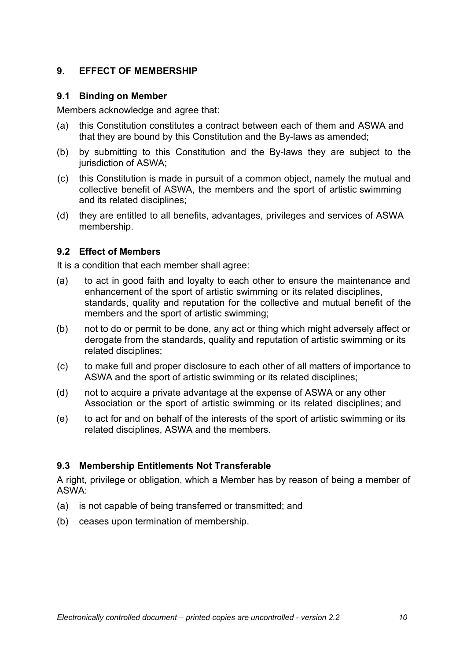## **9. EFFECT OF MEMBERSHIP**

#### **9.1 Binding on Member**

Members acknowledge and agree that:

- (a) this Constitution constitutes a contract between each of them and ASWA and that they are bound by this Constitution and the By-laws as amended;
- (b) by submitting to this Constitution and the By-laws they are subject to the jurisdiction of ASWA:
- (c) this Constitution is made in pursuit of a common object, namely the mutual and collective benefit of ASWA, the members and the sport of artistic swimming and its related disciplines;
- (d) they are entitled to all benefits, advantages, privileges and services of ASWA membership.

## **9.2 Effect of Members**

It is a condition that each member shall agree:

- (a) to act in good faith and loyalty to each other to ensure the maintenance and enhancement of the sport of artistic swimming or its related disciplines, standards, quality and reputation for the collective and mutual benefit of the members and the sport of artistic swimming;
- (b) not to do or permit to be done, any act or thing which might adversely affect or derogate from the standards, quality and reputation of artistic swimming or its related disciplines;
- (c) to make full and proper disclosure to each other of all matters of importance to ASWA and the sport of artistic swimming or its related disciplines;
- (d) not to acquire a private advantage at the expense of ASWA or any other Association or the sport of artistic swimming or its related disciplines; and
- (e) to act for and on behalf of the interests of the sport of artistic swimming or its related disciplines, ASWA and the members.

## **9.3 Membership Entitlements Not Transferable**

A right, privilege or obligation, which a Member has by reason of being a member of ASWA:

- (a) is not capable of being transferred or transmitted; and
- (b) ceases upon termination of membership.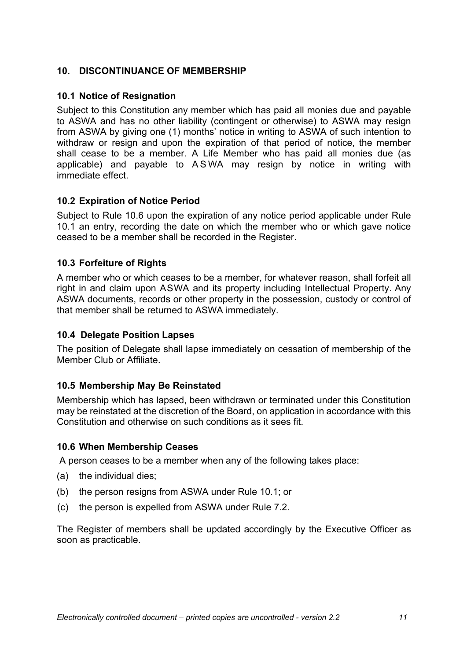## **10. DISCONTINUANCE OF MEMBERSHIP**

#### **10.1 Notice of Resignation**

Subject to this Constitution any member which has paid all monies due and payable to ASWA and has no other liability (contingent or otherwise) to ASWA may resign from ASWA by giving one (1) months' notice in writing to ASWA of such intention to withdraw or resign and upon the expiration of that period of notice, the member shall cease to be a member. A Life Member who has paid all monies due (as applicable) and payable to A S WA may resign by notice in writing with immediate effect.

#### **10.2 Expiration of Notice Period**

Subject to Rule 10.6 upon the expiration of any notice period applicable under Rule 10.1 an entry, recording the date on which the member who or which gave notice ceased to be a member shall be recorded in the Register.

## **10.3 Forfeiture of Rights**

A member who or which ceases to be a member, for whatever reason, shall forfeit all right in and claim upon ASWA and its property including Intellectual Property. Any ASWA documents, records or other property in the possession, custody or control of that member shall be returned to ASWA immediately.

#### **10.4 Delegate Position Lapses**

The position of Delegate shall lapse immediately on cessation of membership of the Member Club or Affiliate.

#### **10.5 Membership May Be Reinstated**

Membership which has lapsed, been withdrawn or terminated under this Constitution may be reinstated at the discretion of the Board, on application in accordance with this Constitution and otherwise on such conditions as it sees fit.

#### **10.6 When Membership Ceases**

A person ceases to be a member when any of the following takes place:

- (a) the individual dies;
- (b) the person resigns from ASWA under Rule 10.1; or
- (c) the person is expelled from ASWA under Rule 7.2.

The Register of members shall be updated accordingly by the Executive Officer as soon as practicable.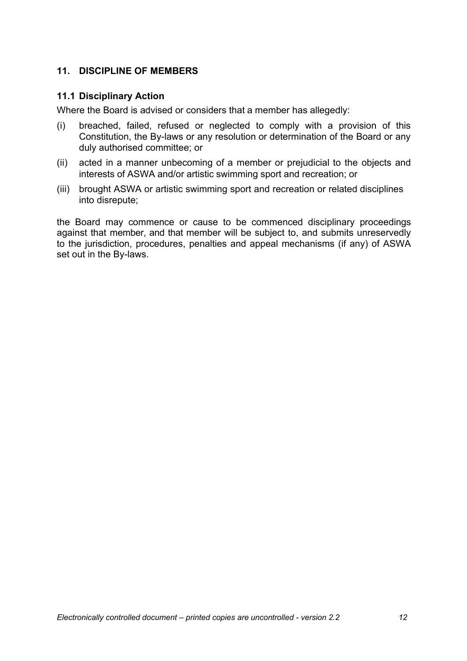## **11. DISCIPLINE OF MEMBERS**

#### **11.1 Disciplinary Action**

Where the Board is advised or considers that a member has allegedly:

- (i) breached, failed, refused or neglected to comply with a provision of this Constitution, the By-laws or any resolution or determination of the Board or any duly authorised committee; or
- (ii) acted in a manner unbecoming of a member or prejudicial to the objects and interests of ASWA and/or artistic swimming sport and recreation; or
- (iii) brought ASWA or artistic swimming sport and recreation or related disciplines into disrepute;

the Board may commence or cause to be commenced disciplinary proceedings against that member, and that member will be subject to, and submits unreservedly to the jurisdiction, procedures, penalties and appeal mechanisms (if any) of ASWA set out in the By-laws.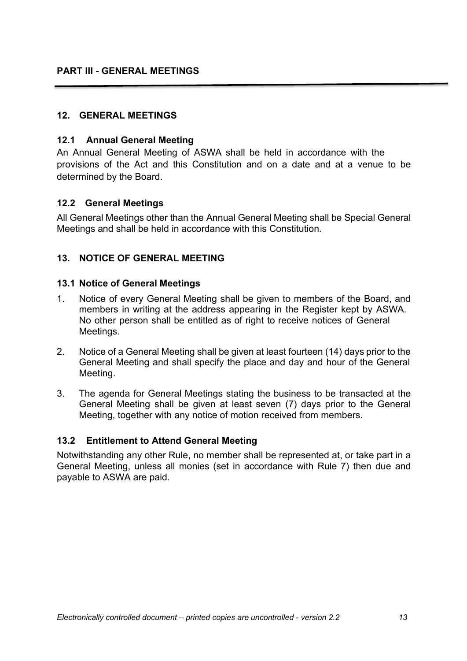## **PART III - GENERAL MEETINGS**

#### **12. GENERAL MEETINGS**

#### **12.1 Annual General Meeting**

An Annual General Meeting of ASWA shall be held in accordance with the provisions of the Act and this Constitution and on a date and at a venue to be determined by the Board.

#### **12.2 General Meetings**

All General Meetings other than the Annual General Meeting shall be Special General Meetings and shall be held in accordance with this Constitution.

#### **13. NOTICE OF GENERAL MEETING**

#### **13.1 Notice of General Meetings**

- 1. Notice of every General Meeting shall be given to members of the Board, and members in writing at the address appearing in the Register kept by ASWA. No other person shall be entitled as of right to receive notices of General Meetings.
- 2. Notice of a General Meeting shall be given at least fourteen (14) days prior to the General Meeting and shall specify the place and day and hour of the General Meeting.
- 3. The agenda for General Meetings stating the business to be transacted at the General Meeting shall be given at least seven (7) days prior to the General Meeting, together with any notice of motion received from members.

#### **13.2 Entitlement to Attend General Meeting**

Notwithstanding any other Rule, no member shall be represented at, or take part in a General Meeting, unless all monies (set in accordance with Rule 7) then due and payable to ASWA are paid.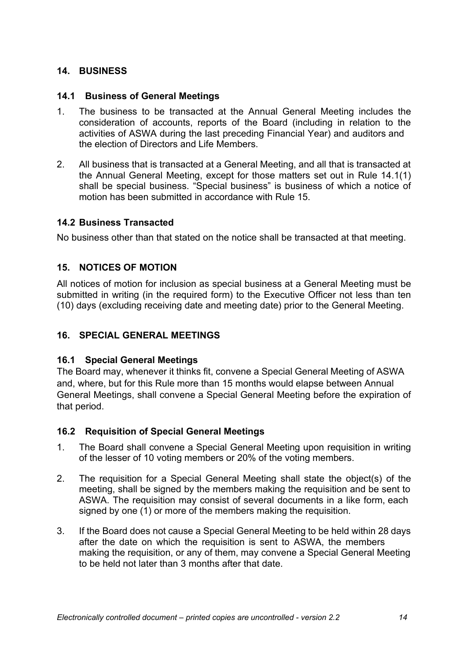## **14. BUSINESS**

## **14.1 Business of General Meetings**

- 1. The business to be transacted at the Annual General Meeting includes the consideration of accounts, reports of the Board (including in relation to the activities of ASWA during the last preceding Financial Year) and auditors and the election of Directors and Life Members.
- 2. All business that is transacted at a General Meeting, and all that is transacted at the Annual General Meeting, except for those matters set out in Rule 14.1(1) shall be special business. "Special business" is business of which a notice of motion has been submitted in accordance with Rule 15.

## **14.2 Business Transacted**

No business other than that stated on the notice shall be transacted at that meeting.

## **15. NOTICES OF MOTION**

All notices of motion for inclusion as special business at a General Meeting must be submitted in writing (in the required form) to the Executive Officer not less than ten (10) days (excluding receiving date and meeting date) prior to the General Meeting.

## **16. SPECIAL GENERAL MEETINGS**

#### **16.1 Special General Meetings**

The Board may, whenever it thinks fit, convene a Special General Meeting of ASWA and, where, but for this Rule more than 15 months would elapse between Annual General Meetings, shall convene a Special General Meeting before the expiration of that period.

#### **16.2 Requisition of Special General Meetings**

- 1. The Board shall convene a Special General Meeting upon requisition in writing of the lesser of 10 voting members or 20% of the voting members.
- 2. The requisition for a Special General Meeting shall state the object(s) of the meeting, shall be signed by the members making the requisition and be sent to ASWA. The requisition may consist of several documents in a like form, each signed by one (1) or more of the members making the requisition.
- 3. If the Board does not cause a Special General Meeting to be held within 28 days after the date on which the requisition is sent to ASWA, the members making the requisition, or any of them, may convene a Special General Meeting to be held not later than 3 months after that date.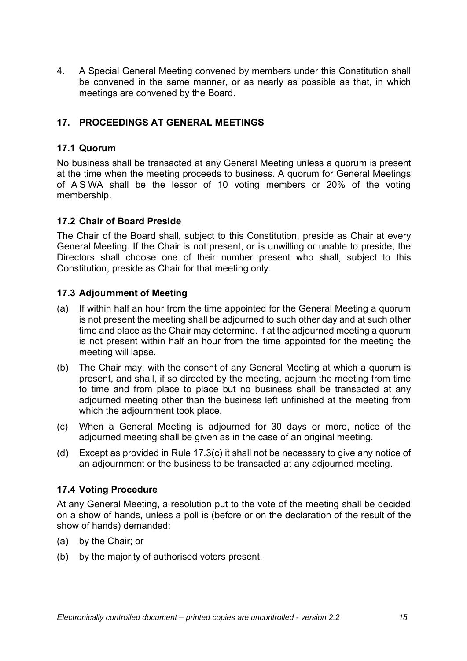4. A Special General Meeting convened by members under this Constitution shall be convened in the same manner, or as nearly as possible as that, in which meetings are convened by the Board.

## **17. PROCEEDINGS AT GENERAL MEETINGS**

#### **17.1 Quorum**

No business shall be transacted at any General Meeting unless a quorum is present at the time when the meeting proceeds to business. A quorum for General Meetings of A S WA shall be the lessor of 10 voting members or 20% of the voting membership.

#### **17.2 Chair of Board Preside**

The Chair of the Board shall, subject to this Constitution, preside as Chair at every General Meeting. If the Chair is not present, or is unwilling or unable to preside, the Directors shall choose one of their number present who shall, subject to this Constitution, preside as Chair for that meeting only.

#### **17.3 Adjournment of Meeting**

- (a) If within half an hour from the time appointed for the General Meeting a quorum is not present the meeting shall be adjourned to such other day and at such other time and place as the Chair may determine. If at the adjourned meeting a quorum is not present within half an hour from the time appointed for the meeting the meeting will lapse.
- (b) The Chair may, with the consent of any General Meeting at which a quorum is present, and shall, if so directed by the meeting, adjourn the meeting from time to time and from place to place but no business shall be transacted at any adjourned meeting other than the business left unfinished at the meeting from which the adjournment took place.
- (c) When a General Meeting is adjourned for 30 days or more, notice of the adjourned meeting shall be given as in the case of an original meeting.
- (d) Except as provided in Rule 17.3(c) it shall not be necessary to give any notice of an adjournment or the business to be transacted at any adjourned meeting.

#### **17.4 Voting Procedure**

At any General Meeting, a resolution put to the vote of the meeting shall be decided on a show of hands, unless a poll is (before or on the declaration of the result of the show of hands) demanded:

- (a) by the Chair; or
- (b) by the majority of authorised voters present.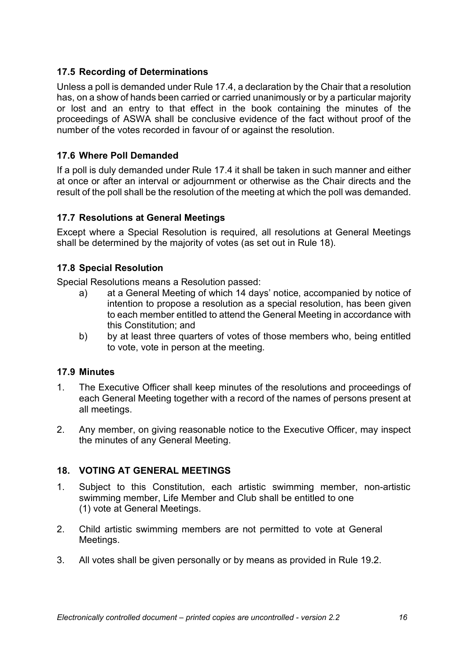## **17.5 Recording of Determinations**

Unless a poll is demanded under Rule 17.4, a declaration by the Chair that a resolution has, on a show of hands been carried or carried unanimously or by a particular majority or lost and an entry to that effect in the book containing the minutes of the proceedings of ASWA shall be conclusive evidence of the fact without proof of the number of the votes recorded in favour of or against the resolution.

## **17.6 Where Poll Demanded**

If a poll is duly demanded under Rule 17.4 it shall be taken in such manner and either at once or after an interval or adjournment or otherwise as the Chair directs and the result of the poll shall be the resolution of the meeting at which the poll was demanded.

#### **17.7 Resolutions at General Meetings**

Except where a Special Resolution is required, all resolutions at General Meetings shall be determined by the majority of votes (as set out in Rule 18).

## **17.8 Special Resolution**

Special Resolutions means a Resolution passed:

- a) at a General Meeting of which 14 days' notice, accompanied by notice of intention to propose a resolution as a special resolution, has been given to each member entitled to attend the General Meeting in accordance with this Constitution; and
- b) by at least three quarters of votes of those members who, being entitled to vote, vote in person at the meeting.

#### **17.9 Minutes**

- 1. The Executive Officer shall keep minutes of the resolutions and proceedings of each General Meeting together with a record of the names of persons present at all meetings.
- 2. Any member, on giving reasonable notice to the Executive Officer, may inspect the minutes of any General Meeting.

#### **18. VOTING AT GENERAL MEETINGS**

- 1. Subject to this Constitution, each artistic swimming member, non-artistic swimming member, Life Member and Club shall be entitled to one (1) vote at General Meetings.
- 2. Child artistic swimming members are not permitted to vote at General Meetings.
- 3. All votes shall be given personally or by means as provided in Rule 19.2.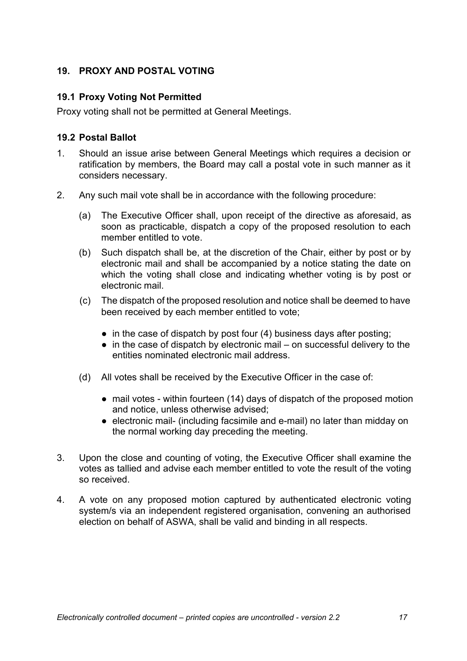## **19. PROXY AND POSTAL VOTING**

#### **19.1 Proxy Voting Not Permitted**

Proxy voting shall not be permitted at General Meetings.

## **19.2 Postal Ballot**

- 1. Should an issue arise between General Meetings which requires a decision or ratification by members, the Board may call a postal vote in such manner as it considers necessary.
- 2. Any such mail vote shall be in accordance with the following procedure:
	- (a) The Executive Officer shall, upon receipt of the directive as aforesaid, as soon as practicable, dispatch a copy of the proposed resolution to each member entitled to vote.
	- (b) Such dispatch shall be, at the discretion of the Chair, either by post or by electronic mail and shall be accompanied by a notice stating the date on which the voting shall close and indicating whether voting is by post or electronic mail.
	- (c) The dispatch of the proposed resolution and notice shall be deemed to have been received by each member entitled to vote;
		- in the case of dispatch by post four (4) business days after posting;
		- $\bullet$  in the case of dispatch by electronic mail on successful delivery to the entities nominated electronic mail address.
	- (d) All votes shall be received by the Executive Officer in the case of:
		- mail votes within fourteen (14) days of dispatch of the proposed motion and notice, unless otherwise advised;
		- electronic mail- (including facsimile and e-mail) no later than midday on the normal working day preceding the meeting.
- 3. Upon the close and counting of voting, the Executive Officer shall examine the votes as tallied and advise each member entitled to vote the result of the voting so received.
- 4. A vote on any proposed motion captured by authenticated electronic voting system/s via an independent registered organisation, convening an authorised election on behalf of ASWA, shall be valid and binding in all respects.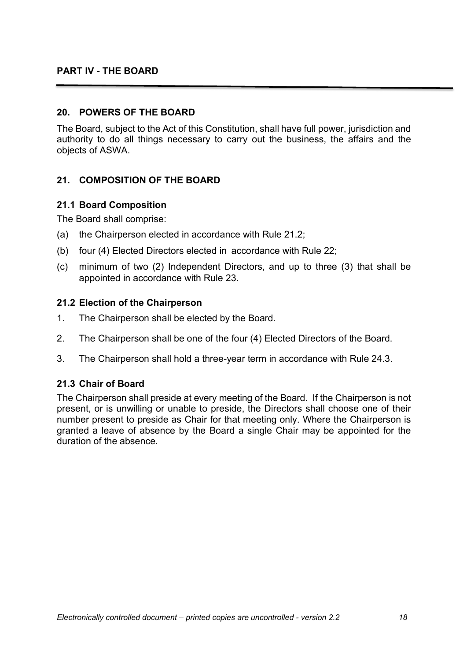#### **20. POWERS OF THE BOARD**

The Board, subject to the Act of this Constitution, shall have full power, jurisdiction and authority to do all things necessary to carry out the business, the affairs and the objects of ASWA.

## **21. COMPOSITION OF THE BOARD**

#### **21.1 Board Composition**

The Board shall comprise:

- (a) the Chairperson elected in accordance with Rule 21.2;
- (b) four (4) Elected Directors elected in accordance with Rule 22;
- (c) minimum of two (2) Independent Directors, and up to three (3) that shall be appointed in accordance with Rule 23.

#### **21.2 Election of the Chairperson**

- 1. The Chairperson shall be elected by the Board.
- 2. The Chairperson shall be one of the four (4) Elected Directors of the Board.
- 3. The Chairperson shall hold a three-year term in accordance with Rule 24.3.

#### **21.3 Chair of Board**

The Chairperson shall preside at every meeting of the Board. If the Chairperson is not present, or is unwilling or unable to preside, the Directors shall choose one of their number present to preside as Chair for that meeting only. Where the Chairperson is granted a leave of absence by the Board a single Chair may be appointed for the duration of the absence.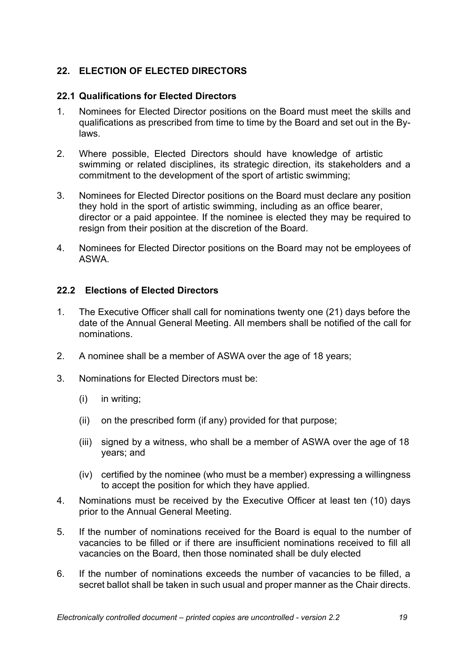## **22. ELECTION OF ELECTED DIRECTORS**

#### **22.1 Qualifications for Elected Directors**

- 1. Nominees for Elected Director positions on the Board must meet the skills and qualifications as prescribed from time to time by the Board and set out in the Bylaws.
- 2. Where possible, Elected Directors should have knowledge of artistic swimming or related disciplines, its strategic direction, its stakeholders and a commitment to the development of the sport of artistic swimming;
- 3. Nominees for Elected Director positions on the Board must declare any position they hold in the sport of artistic swimming, including as an office bearer, director or a paid appointee. If the nominee is elected they may be required to resign from their position at the discretion of the Board.
- 4. Nominees for Elected Director positions on the Board may not be employees of ASWA.

## **22.2 Elections of Elected Directors**

- 1. The Executive Officer shall call for nominations twenty one (21) days before the date of the Annual General Meeting. All members shall be notified of the call for nominations.
- 2. A nominee shall be a member of ASWA over the age of 18 years;
- 3. Nominations for Elected Directors must be:
	- (i) in writing;
	- (ii) on the prescribed form (if any) provided for that purpose;
	- (iii) signed by a witness, who shall be a member of ASWA over the age of 18 years; and
	- (iv) certified by the nominee (who must be a member) expressing a willingness to accept the position for which they have applied.
- 4. Nominations must be received by the Executive Officer at least ten (10) days prior to the Annual General Meeting.
- 5. If the number of nominations received for the Board is equal to the number of vacancies to be filled or if there are insufficient nominations received to fill all vacancies on the Board, then those nominated shall be duly elected
- 6. If the number of nominations exceeds the number of vacancies to be filled, a secret ballot shall be taken in such usual and proper manner as the Chair directs.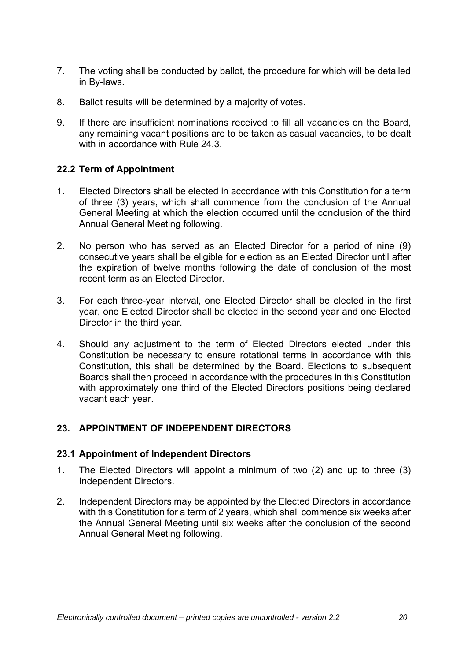- 7. The voting shall be conducted by ballot, the procedure for which will be detailed in By-laws.
- 8. Ballot results will be determined by a majority of votes.
- 9. If there are insufficient nominations received to fill all vacancies on the Board, any remaining vacant positions are to be taken as casual vacancies, to be dealt with in accordance with Rule 24.3.

## **22.2 Term of Appointment**

- 1. Elected Directors shall be elected in accordance with this Constitution for a term of three (3) years, which shall commence from the conclusion of the Annual General Meeting at which the election occurred until the conclusion of the third Annual General Meeting following.
- 2. No person who has served as an Elected Director for a period of nine (9) consecutive years shall be eligible for election as an Elected Director until after the expiration of twelve months following the date of conclusion of the most recent term as an Elected Director.
- 3. For each three-year interval, one Elected Director shall be elected in the first year, one Elected Director shall be elected in the second year and one Elected Director in the third year.
- 4. Should any adjustment to the term of Elected Directors elected under this Constitution be necessary to ensure rotational terms in accordance with this Constitution, this shall be determined by the Board. Elections to subsequent Boards shall then proceed in accordance with the procedures in this Constitution with approximately one third of the Elected Directors positions being declared vacant each year.

## **23. APPOINTMENT OF INDEPENDENT DIRECTORS**

#### **23.1 Appointment of Independent Directors**

- 1. The Elected Directors will appoint a minimum of two (2) and up to three (3) Independent Directors.
- 2. Independent Directors may be appointed by the Elected Directors in accordance with this Constitution for a term of 2 years, which shall commence six weeks after the Annual General Meeting until six weeks after the conclusion of the second Annual General Meeting following.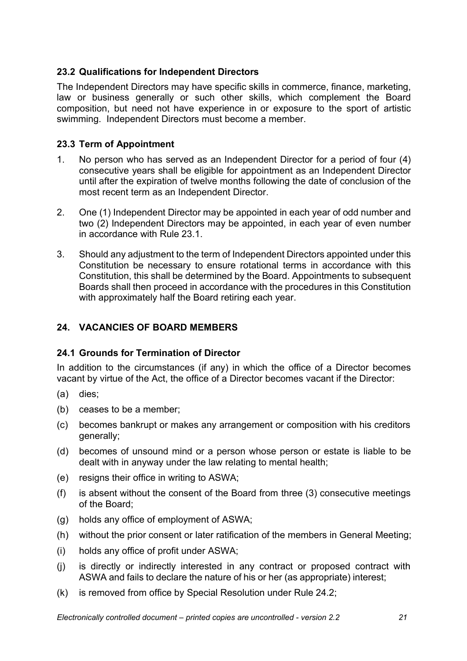## **23.2 Qualifications for Independent Directors**

The Independent Directors may have specific skills in commerce, finance, marketing, law or business generally or such other skills, which complement the Board composition, but need not have experience in or exposure to the sport of artistic swimming. Independent Directors must become a member.

## **23.3 Term of Appointment**

- 1. No person who has served as an Independent Director for a period of four (4) consecutive years shall be eligible for appointment as an Independent Director until after the expiration of twelve months following the date of conclusion of the most recent term as an Independent Director.
- 2. One (1) Independent Director may be appointed in each year of odd number and two (2) Independent Directors may be appointed, in each year of even number in accordance with Rule 23.1.
- 3. Should any adjustment to the term of Independent Directors appointed under this Constitution be necessary to ensure rotational terms in accordance with this Constitution, this shall be determined by the Board. Appointments to subsequent Boards shall then proceed in accordance with the procedures in this Constitution with approximately half the Board retiring each year.

## **24. VACANCIES OF BOARD MEMBERS**

## **24.1 Grounds for Termination of Director**

In addition to the circumstances (if any) in which the office of a Director becomes vacant by virtue of the Act, the office of a Director becomes vacant if the Director:

- (a) dies;
- (b) ceases to be a member;
- (c) becomes bankrupt or makes any arrangement or composition with his creditors generally;
- (d) becomes of unsound mind or a person whose person or estate is liable to be dealt with in anyway under the law relating to mental health;
- (e) resigns their office in writing to ASWA;
- (f) is absent without the consent of the Board from three (3) consecutive meetings of the Board;
- (g) holds any office of employment of ASWA;
- (h) without the prior consent or later ratification of the members in General Meeting;
- (i) holds any office of profit under ASWA;
- (j) is directly or indirectly interested in any contract or proposed contract with ASWA and fails to declare the nature of his or her (as appropriate) interest;
- (k) is removed from office by Special Resolution under Rule 24.2;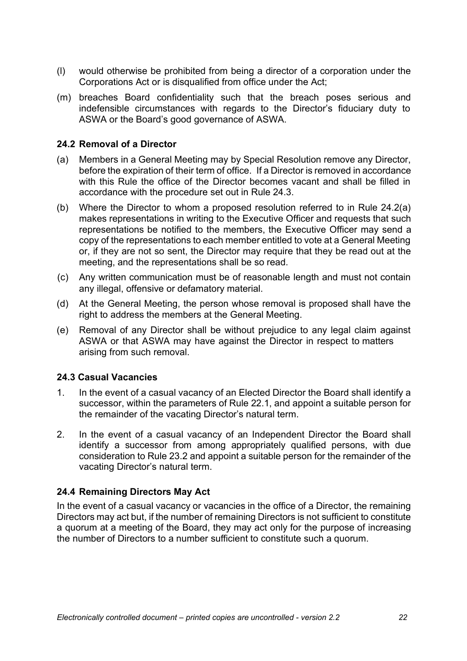- (l) would otherwise be prohibited from being a director of a corporation under the Corporations Act or is disqualified from office under the Act;
- (m) breaches Board confidentiality such that the breach poses serious and indefensible circumstances with regards to the Director's fiduciary duty to ASWA or the Board's good governance of ASWA.

#### **24.2 Removal of a Director**

- (a) Members in a General Meeting may by Special Resolution remove any Director, before the expiration of their term of office. If a Director is removed in accordance with this Rule the office of the Director becomes vacant and shall be filled in accordance with the procedure set out in Rule 24.3.
- (b) Where the Director to whom a proposed resolution referred to in Rule 24.2(a) makes representations in writing to the Executive Officer and requests that such representations be notified to the members, the Executive Officer may send a copy of the representations to each member entitled to vote at a General Meeting or, if they are not so sent, the Director may require that they be read out at the meeting, and the representations shall be so read.
- (c) Any written communication must be of reasonable length and must not contain any illegal, offensive or defamatory material.
- (d) At the General Meeting, the person whose removal is proposed shall have the right to address the members at the General Meeting.
- (e) Removal of any Director shall be without prejudice to any legal claim against ASWA or that ASWA may have against the Director in respect to matters arising from such removal.

## **24.3 Casual Vacancies**

- 1. In the event of a casual vacancy of an Elected Director the Board shall identify a successor, within the parameters of Rule 22.1, and appoint a suitable person for the remainder of the vacating Director's natural term.
- 2. In the event of a casual vacancy of an Independent Director the Board shall identify a successor from among appropriately qualified persons, with due consideration to Rule 23.2 and appoint a suitable person for the remainder of the vacating Director's natural term.

#### **24.4 Remaining Directors May Act**

In the event of a casual vacancy or vacancies in the office of a Director, the remaining Directors may act but, if the number of remaining Directors is not sufficient to constitute a quorum at a meeting of the Board, they may act only for the purpose of increasing the number of Directors to a number sufficient to constitute such a quorum.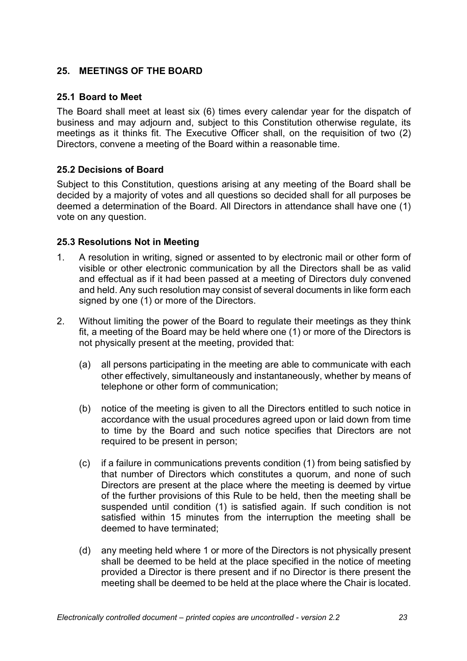## **25. MEETINGS OF THE BOARD**

#### **25.1 Board to Meet**

The Board shall meet at least six (6) times every calendar year for the dispatch of business and may adjourn and, subject to this Constitution otherwise regulate, its meetings as it thinks fit. The Executive Officer shall, on the requisition of two (2) Directors, convene a meeting of the Board within a reasonable time.

#### **25.2 Decisions of Board**

Subject to this Constitution, questions arising at any meeting of the Board shall be decided by a majority of votes and all questions so decided shall for all purposes be deemed a determination of the Board. All Directors in attendance shall have one (1) vote on any question.

#### **25.3 Resolutions Not in Meeting**

- 1. A resolution in writing, signed or assented to by electronic mail or other form of visible or other electronic communication by all the Directors shall be as valid and effectual as if it had been passed at a meeting of Directors duly convened and held. Any such resolution may consist of several documents in like form each signed by one (1) or more of the Directors.
- 2. Without limiting the power of the Board to regulate their meetings as they think fit, a meeting of the Board may be held where one (1) or more of the Directors is not physically present at the meeting, provided that:
	- (a) all persons participating in the meeting are able to communicate with each other effectively, simultaneously and instantaneously, whether by means of telephone or other form of communication;
	- (b) notice of the meeting is given to all the Directors entitled to such notice in accordance with the usual procedures agreed upon or laid down from time to time by the Board and such notice specifies that Directors are not required to be present in person;
	- (c) if a failure in communications prevents condition (1) from being satisfied by that number of Directors which constitutes a quorum, and none of such Directors are present at the place where the meeting is deemed by virtue of the further provisions of this Rule to be held, then the meeting shall be suspended until condition (1) is satisfied again. If such condition is not satisfied within 15 minutes from the interruption the meeting shall be deemed to have terminated;
	- (d) any meeting held where 1 or more of the Directors is not physically present shall be deemed to be held at the place specified in the notice of meeting provided a Director is there present and if no Director is there present the meeting shall be deemed to be held at the place where the Chair is located.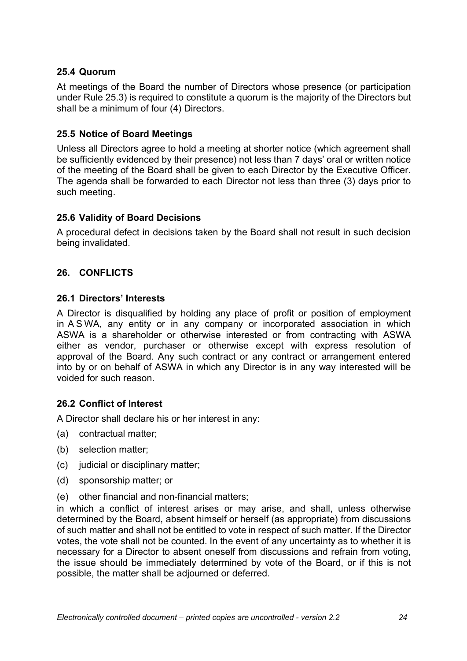## **25.4 Quorum**

At meetings of the Board the number of Directors whose presence (or participation under Rule 25.3) is required to constitute a quorum is the majority of the Directors but shall be a minimum of four (4) Directors.

#### **25.5 Notice of Board Meetings**

Unless all Directors agree to hold a meeting at shorter notice (which agreement shall be sufficiently evidenced by their presence) not less than 7 days' oral or written notice of the meeting of the Board shall be given to each Director by the Executive Officer. The agenda shall be forwarded to each Director not less than three (3) days prior to such meeting.

## **25.6 Validity of Board Decisions**

A procedural defect in decisions taken by the Board shall not result in such decision being invalidated.

## **26. CONFLICTS**

#### **26.1 Directors' Interests**

A Director is disqualified by holding any place of profit or position of employment in A S WA, any entity or in any company or incorporated association in which ASWA is a shareholder or otherwise interested or from contracting with ASWA either as vendor, purchaser or otherwise except with express resolution of approval of the Board. Any such contract or any contract or arrangement entered into by or on behalf of ASWA in which any Director is in any way interested will be voided for such reason.

#### **26.2 Conflict of Interest**

A Director shall declare his or her interest in any:

- (a) contractual matter;
- (b) selection matter;
- (c) judicial or disciplinary matter;
- (d) sponsorship matter; or
- (e) other financial and non-financial matters;

in which a conflict of interest arises or may arise, and shall, unless otherwise determined by the Board, absent himself or herself (as appropriate) from discussions of such matter and shall not be entitled to vote in respect of such matter. If the Director votes, the vote shall not be counted. In the event of any uncertainty as to whether it is necessary for a Director to absent oneself from discussions and refrain from voting, the issue should be immediately determined by vote of the Board, or if this is not possible, the matter shall be adjourned or deferred.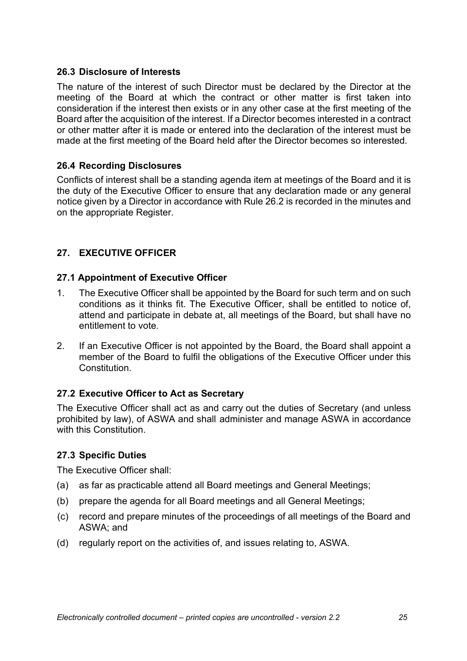#### **26.3 Disclosure of Interests**

The nature of the interest of such Director must be declared by the Director at the meeting of the Board at which the contract or other matter is first taken into consideration if the interest then exists or in any other case at the first meeting of the Board after the acquisition of the interest. If a Director becomes interested in a contract or other matter after it is made or entered into the declaration of the interest must be made at the first meeting of the Board held after the Director becomes so interested.

## **26.4 Recording Disclosures**

Conflicts of interest shall be a standing agenda item at meetings of the Board and it is the duty of the Executive Officer to ensure that any declaration made or any general notice given by a Director in accordance with Rule 26.2 is recorded in the minutes and on the appropriate Register.

## **27. EXECUTIVE OFFICER**

## **27.1 Appointment of Executive Officer**

- 1. The Executive Officer shall be appointed by the Board for such term and on such conditions as it thinks fit. The Executive Officer, shall be entitled to notice of, attend and participate in debate at, all meetings of the Board, but shall have no entitlement to vote.
- 2. If an Executive Officer is not appointed by the Board, the Board shall appoint a member of the Board to fulfil the obligations of the Executive Officer under this Constitution.

## **27.2 Executive Officer to Act as Secretary**

The Executive Officer shall act as and carry out the duties of Secretary (and unless prohibited by law), of ASWA and shall administer and manage ASWA in accordance with this Constitution.

#### **27.3 Specific Duties**

The Executive Officer shall:

- (a) as far as practicable attend all Board meetings and General Meetings;
- (b) prepare the agenda for all Board meetings and all General Meetings;
- (c) record and prepare minutes of the proceedings of all meetings of the Board and ASWA; and
- (d) regularly report on the activities of, and issues relating to, ASWA.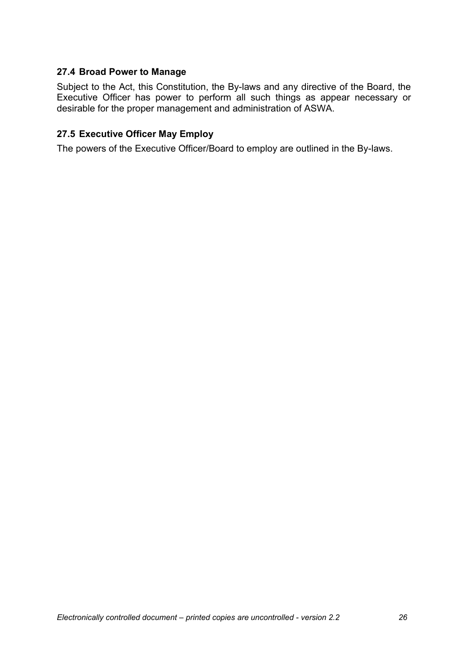## **27.4 Broad Power to Manage**

Subject to the Act, this Constitution, the By-laws and any directive of the Board, the Executive Officer has power to perform all such things as appear necessary or desirable for the proper management and administration of ASWA.

## **27.5 Executive Officer May Employ**

The powers of the Executive Officer/Board to employ are outlined in the By-laws.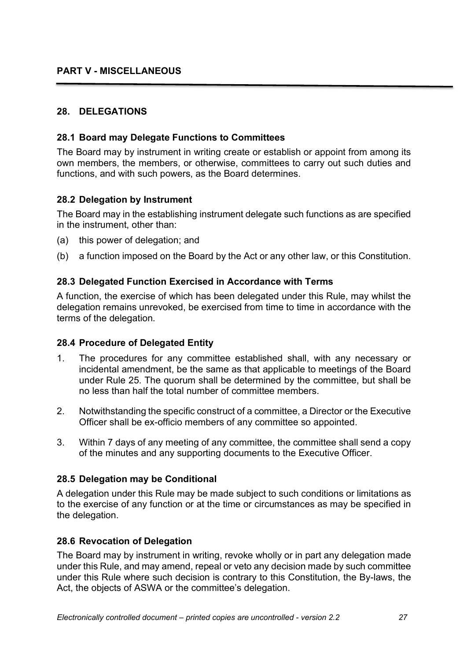## **PART V - MISCELLANEOUS**

## **28. DELEGATIONS**

#### **28.1 Board may Delegate Functions to Committees**

The Board may by instrument in writing create or establish or appoint from among its own members, the members, or otherwise, committees to carry out such duties and functions, and with such powers, as the Board determines.

#### **28.2 Delegation by Instrument**

The Board may in the establishing instrument delegate such functions as are specified in the instrument, other than:

- (a) this power of delegation; and
- (b) a function imposed on the Board by the Act or any other law, or this Constitution.

#### **28.3 Delegated Function Exercised in Accordance with Terms**

A function, the exercise of which has been delegated under this Rule, may whilst the delegation remains unrevoked, be exercised from time to time in accordance with the terms of the delegation.

#### **28.4 Procedure of Delegated Entity**

- 1. The procedures for any committee established shall, with any necessary or incidental amendment, be the same as that applicable to meetings of the Board under Rule 25. The quorum shall be determined by the committee, but shall be no less than half the total number of committee members.
- 2. Notwithstanding the specific construct of a committee, a Director or the Executive Officer shall be ex-officio members of any committee so appointed.
- 3. Within 7 days of any meeting of any committee, the committee shall send a copy of the minutes and any supporting documents to the Executive Officer.

#### **28.5 Delegation may be Conditional**

A delegation under this Rule may be made subject to such conditions or limitations as to the exercise of any function or at the time or circumstances as may be specified in the delegation.

#### **28.6 Revocation of Delegation**

The Board may by instrument in writing, revoke wholly or in part any delegation made under this Rule, and may amend, repeal or veto any decision made by such committee under this Rule where such decision is contrary to this Constitution, the By-laws, the Act, the objects of ASWA or the committee's delegation.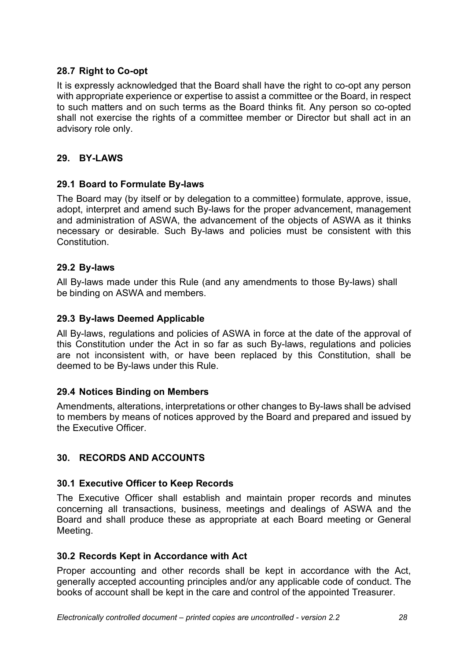## **28.7 Right to Co-opt**

It is expressly acknowledged that the Board shall have the right to co-opt any person with appropriate experience or expertise to assist a committee or the Board, in respect to such matters and on such terms as the Board thinks fit. Any person so co-opted shall not exercise the rights of a committee member or Director but shall act in an advisory role only.

## **29. BY-LAWS**

## **29.1 Board to Formulate By-laws**

The Board may (by itself or by delegation to a committee) formulate, approve, issue, adopt, interpret and amend such By-laws for the proper advancement, management and administration of ASWA, the advancement of the objects of ASWA as it thinks necessary or desirable. Such By-laws and policies must be consistent with this Constitution.

## **29.2 By-laws**

All By-laws made under this Rule (and any amendments to those By-laws) shall be binding on ASWA and members.

## **29.3 By-laws Deemed Applicable**

All By-laws, regulations and policies of ASWA in force at the date of the approval of this Constitution under the Act in so far as such By-laws, regulations and policies are not inconsistent with, or have been replaced by this Constitution, shall be deemed to be By-laws under this Rule.

## **29.4 Notices Binding on Members**

Amendments, alterations, interpretations or other changes to By-laws shall be advised to members by means of notices approved by the Board and prepared and issued by the Executive Officer.

## **30. RECORDS AND ACCOUNTS**

## **30.1 Executive Officer to Keep Records**

The Executive Officer shall establish and maintain proper records and minutes concerning all transactions, business, meetings and dealings of ASWA and the Board and shall produce these as appropriate at each Board meeting or General Meeting.

## **30.2 Records Kept in Accordance with Act**

Proper accounting and other records shall be kept in accordance with the Act, generally accepted accounting principles and/or any applicable code of conduct. The books of account shall be kept in the care and control of the appointed Treasurer.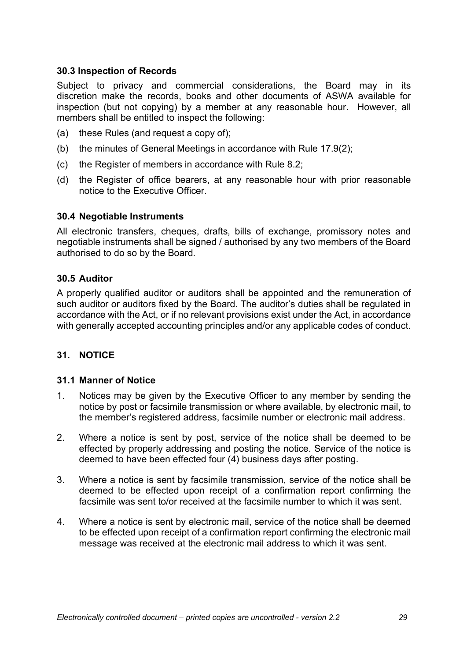## **30.3 Inspection of Records**

Subject to privacy and commercial considerations, the Board may in its discretion make the records, books and other documents of ASWA available for inspection (but not copying) by a member at any reasonable hour. However, all members shall be entitled to inspect the following:

- (a) these Rules (and request a copy of);
- (b) the minutes of General Meetings in accordance with Rule 17.9(2);
- (c) the Register of members in accordance with Rule 8.2;
- (d) the Register of office bearers, at any reasonable hour with prior reasonable notice to the Executive Officer.

#### **30.4 Negotiable Instruments**

All electronic transfers, cheques, drafts, bills of exchange, promissory notes and negotiable instruments shall be signed / authorised by any two members of the Board authorised to do so by the Board.

#### **30.5 Auditor**

A properly qualified auditor or auditors shall be appointed and the remuneration of such auditor or auditors fixed by the Board. The auditor's duties shall be regulated in accordance with the Act, or if no relevant provisions exist under the Act, in accordance with generally accepted accounting principles and/or any applicable codes of conduct.

#### **31. NOTICE**

#### **31.1 Manner of Notice**

- 1. Notices may be given by the Executive Officer to any member by sending the notice by post or facsimile transmission or where available, by electronic mail, to the member's registered address, facsimile number or electronic mail address.
- 2. Where a notice is sent by post, service of the notice shall be deemed to be effected by properly addressing and posting the notice. Service of the notice is deemed to have been effected four (4) business days after posting.
- 3. Where a notice is sent by facsimile transmission, service of the notice shall be deemed to be effected upon receipt of a confirmation report confirming the facsimile was sent to/or received at the facsimile number to which it was sent.
- 4. Where a notice is sent by electronic mail, service of the notice shall be deemed to be effected upon receipt of a confirmation report confirming the electronic mail message was received at the electronic mail address to which it was sent.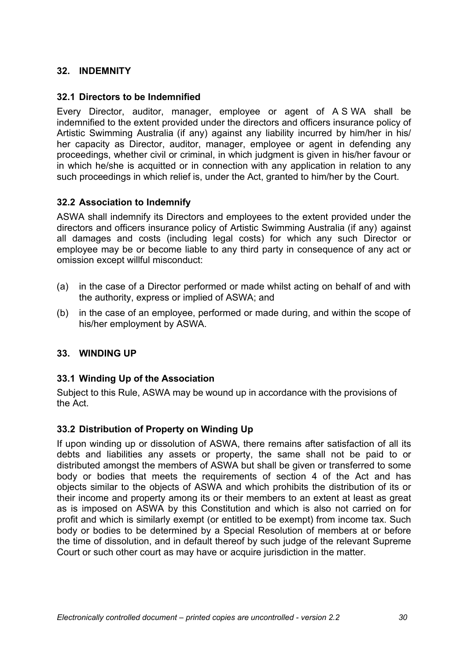## **32. INDEMNITY**

## **32.1 Directors to be Indemnified**

Every Director, auditor, manager, employee or agent of A S WA shall be indemnified to the extent provided under the directors and officers insurance policy of Artistic Swimming Australia (if any) against any liability incurred by him/her in his/ her capacity as Director, auditor, manager, employee or agent in defending any proceedings, whether civil or criminal, in which judgment is given in his/her favour or in which he/she is acquitted or in connection with any application in relation to any such proceedings in which relief is, under the Act, granted to him/her by the Court.

## **32.2 Association to Indemnify**

ASWA shall indemnify its Directors and employees to the extent provided under the directors and officers insurance policy of Artistic Swimming Australia (if any) against all damages and costs (including legal costs) for which any such Director or employee may be or become liable to any third party in consequence of any act or omission except willful misconduct:

- (a) in the case of a Director performed or made whilst acting on behalf of and with the authority, express or implied of ASWA; and
- (b) in the case of an employee, performed or made during, and within the scope of his/her employment by ASWA.

#### **33. WINDING UP**

#### **33.1 Winding Up of the Association**

Subject to this Rule, ASWA may be wound up in accordance with the provisions of the Act.

## **33.2 Distribution of Property on Winding Up**

If upon winding up or dissolution of ASWA, there remains after satisfaction of all its debts and liabilities any assets or property, the same shall not be paid to or distributed amongst the members of ASWA but shall be given or transferred to some body or bodies that meets the requirements of section 4 of the Act and has objects similar to the objects of ASWA and which prohibits the distribution of its or their income and property among its or their members to an extent at least as great as is imposed on ASWA by this Constitution and which is also not carried on for profit and which is similarly exempt (or entitled to be exempt) from income tax. Such body or bodies to be determined by a Special Resolution of members at or before the time of dissolution, and in default thereof by such judge of the relevant Supreme Court or such other court as may have or acquire jurisdiction in the matter.